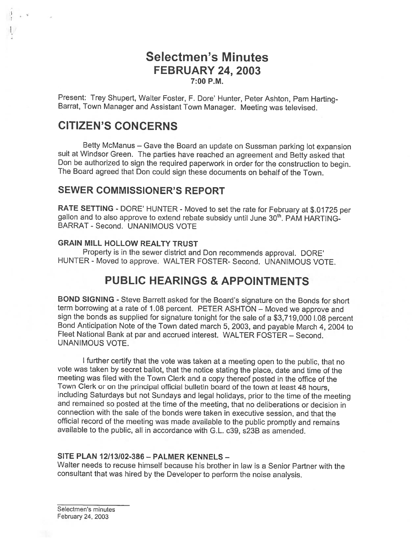## Selectmen's Minutes FEBRUARY 24, 2003 7:00 P.M.

Present: Trey Shupert, Walter Foster, F. Dore' Hunter, Peter Ashton, Pam Harting-<br>Barrat, Town Manager and Assistant Town Manager. Meeting was televised.

## CITIZEN'S CONCERNS

Betty McManus — Gave the Board an update on Sussman parking lot expansion suit at Windsor Green. The parties have reached an agreement and Betty asked that Don be authorized to sign the requited paperwork in order for the construction to begin. The Board agreed that Don could sign these documents on behalf of the Town.

#### SEWER COMMISSIONER'S REPORT

RATE SETTING - DORE' HUNTER - Moved to set the rate for February at \$.01725 per gallon and to also approve to extend rebate subsidy until June 30<sup>th</sup>. PAM HARTING-BARRAT - Second. UNANIMOUS VOTE

#### GRAIN MILL HOLLOW REALTY TRUST

Property is in the sewer district and Don recommends approval. DORE' HUNTER - Moved to approve. WALTER FOSTER- Second. UNANIMOUS VOTE.

## PUBLIC HEARINGS & APPOINTMENTS

BOND SIGNING - Steve Barrett asked for the Board's signature on the Bonds for short term borrowing at a rate of 1.08 percent. PETER ASHTON – Moved we approve and sign the bonds as supplied for signature tonight for the sale of a \$3,719,000 l.08 percent Bond Anticipation Note of the Town dated march 5, 2003, and payable March 4, 2004 to Fleet National Bank at par and accrued interest. WALTER FOSTER — Second. UNANIMOUS VOTE.

<sup>I</sup> further certify that the vote was taken at <sup>a</sup> meeting open to the public, that no vote was taken by secret ballot, that the notice stating the <sup>p</sup>lace, date and time of the meeting was filed with the Town Clerk and <sup>a</sup> copy thereof posted in the office of the Town Clerk or on the principal official bulletin board of the town at least <sup>48</sup> hours, including Saturdays but not Sundays and legal holidays, prior to the time of the meeting and remained so posted at the time of the meeting, that no deliberations or decision in connection with the sale of the bonds were taken in executive session, and that the official record of the meeting was made available to the public promptly and remains available to the public, all in accordance with G.L. c39, s23B as amended.

#### SITE PLAN 12/13/02-386 - PALMER KENNELS -

Walter needs to recuse himself because his brother in law is <sup>a</sup> Senior Partner with the consultant that was hired by the Developer to perform the noise analysis.

Selectmen's minutes February 24, 2003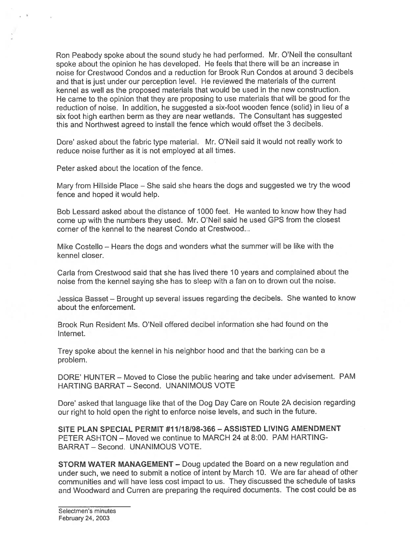Ron Peabody spoke about the sound study he had performed. Mr. O'Neil the consultant spoke about the opinion he has developed. He feels that there will be an increase in noise for Crestwood Condos and <sup>a</sup> reduction for Brook Run Condos at around 3 decibels and that is just under our perception level. He reviewed the materials of the current kennel as well as the proposed materials that would be used in the new construction. He came to the opinion that they are proposing to use materials that will be good for the reduction of noise. In addition, he suggested <sup>a</sup> six-foot wooden fence (solid) in lieu of <sup>a</sup> six foot high earthen berm as they are near wetlands. The Consultant has suggested this and Northwest agreed to install the fence which would offset the 3 decibels.

Dore' asked about the fabric type material. Mr. O'Neil said it would not really work to reduce noise further as it is not employed at all times.

Peter asked about the location of the fence.

Mary from Hillside Place — She said she hears the dogs and suggested we try the wood fence and hoped it would help.

Bob Lessard asked about the distance of 1000 feet. He wanted to know how they had come up with the numbers they used. Mr. O'Neil said he used GPS from the closest corner of the kennel to the nearest Condo at Crestwood...

Mike Costello — Hears the dogs and wonders what the summer will be like with the kennel closer.

Carla from Crestwood said that she has lived there 10 years and complained about the noise from the kennel saying she has to sleep with <sup>a</sup> fan on to drown out the noise.

Jessica Basset — Brought up several issues regarding the decibels. She wanted to know about the enforcement.

Brook Run Resident Ms. O'Neil offered decibel information she had found on the Internet.

Trey spoke about the kennel in his neighbor hood and that the barking can be <sup>a</sup> problem.

DORE' HUNTER — Moved to Close the public hearing and take under advisement. PAM HARTING BARRAT - Second. UNANIMOUS VOTE

Dore' asked that language like that of the Dog Day Care on Route 2A decision regarding our right to hold open the right to enforce noise levels, and such in the future.

SITE PLAN SPECIAL PERMIT #1 1118198-366— ASSISTED LIVING AMENDMENT PETER ASHTON — Moved we continue to MARCH 24 at 8:00. PAM HARTING BARRAT — Second. UNANIMOUS VOTE.

STORM WATER MANAGEMENT — Doug updated the Board on <sup>a</sup> new regulation and under such, we need to submit <sup>a</sup> notice of intent by March 10. We are far ahead of other communities and will have less cost impact to us. They discussed the schedule of tasks and Woodward and Curren are preparing the required documents. The cost could be as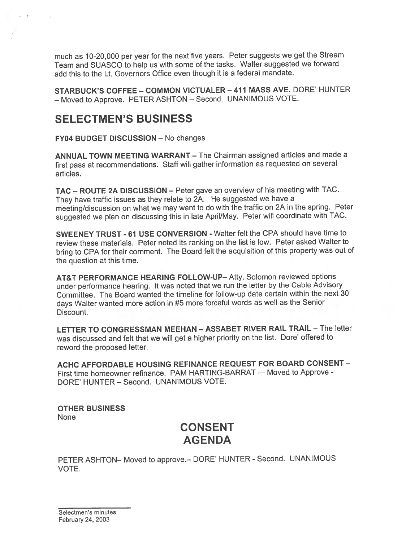much as 10-20,000 per year for the next five years. Peter suggests we ge<sup>t</sup> the Stream Team and SUASCO to help us with some of the tasks. Walter suggested we forward add this to the Lt. Governors Office even though it is <sup>a</sup> federal mandate.

STARBUCK'S COFFEE — COMMON VICTUALER — 411 MASS AVE. DORE' HUNTER — Moved to Approve. PETER ASHTON — Second. UNANIMOUS VOTE.

## SELECTMEN'S BUSINESS

FY04 BUDGET DISCUSSION — No changes

ANNUAL TOWN MEETING WARRANT — The Chairman assigned articles and made <sup>a</sup> first pass at recommendations. Staff will gather information as requested on several articles.

TAC — ROUTE 2A DISCUSSION — Peter gave an overview of his meeting with TAC. They have traffic issues as they relate to 2A. He suggested we have <sup>a</sup> meeting/discussion on what we may want to do with the traffic on 2A in the spring. Peter suggested we <sup>p</sup>lan on discussing this in late April/May. Peter will coordinate with TAC.

SWEENEY TRUST -61 USE CONVERSION - Walter felt the CPA should have time to review these materials. Peter noted its ranking on the list is low. Peter asked Walter to bring to CPA for their comment. The Board felt the acquisition of this property was out of the question at this time.

AT&T PERFORMANCE HEARING FOLLOW-UP— Atty. Solomon reviewed options under performance hearing. It was noted that we run the letter by the Cable Advisory Committee. The Board wanted the timeline for follow-up date certain within the next 30 days WaIter wanted more action in #5 more forceful words as well as the Senior Discount.

LETTER TO CONGRESSMAN MEEHAN - ASSABET RIVER RAIL TRAIL - The letter was discussed and felt that we will ge<sup>t</sup> <sup>a</sup> higher priority on the list. Dore' offered to reword the proposed letter.

ACHC AFFORDABLE HOUSING REFINANCE REQUEST FOR BOARD CONSENT — First time homeowner refinance. PAM HARTING-BARRAT — Moved to Approve - DORE' HUNTER — Second. UNANIMOUS VOTE.

OTHER BUSINESS None

# CONSENT AGENDA

PETER ASHTON— Moved to approve.— DORE' HUNTER - Second. UNANIMOUS VOTE.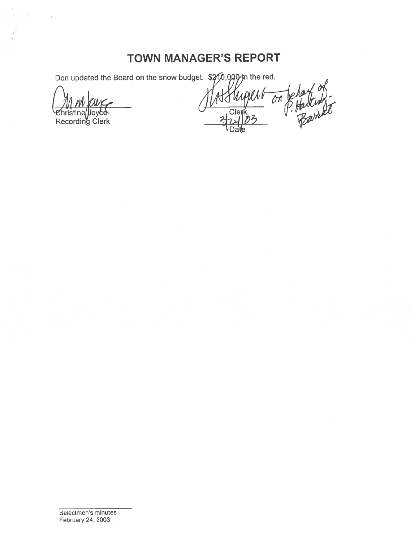# TOWN MANAGER'S REPORT

Don updated the Board on the snow budget.  $$20,090$  in the red.

hristine Recording Clerk

 $\mathcal{C}^{\mathrm{c}}$ 

P. Harting **Clerk**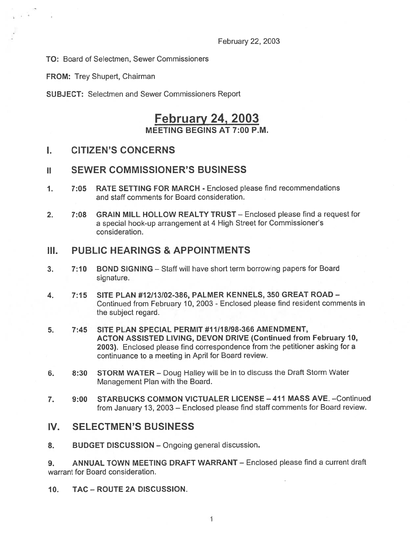TO: Board of Selectmen, Sewer Commissioners

FROM: Trey Shupert, Chairman

SUBJECT: Selectmen and Sewer Commissioners Report

# February 24, 2003

MEETING BEGINS AT 7:00 P.M.

## I. CITIZEN'S CONCERNS

#### ii SEWER COMMISSIONER'S BUSINESS

- 1. 7:05 RATE SETTING FOR MARCH Enclosed please find recommendations and staff comments for Board consideration.
- 2. 7:08 GRAIN MILL HOLLOW REALTY TRUST Enclosed please find a request for <sup>a</sup> special hook-up arrangemen<sup>t</sup> at 4 High Street for Commissioner's consideration.

#### III. PUBLIC HEARINGS & APPOINTMENTS

- 3. 7:10 BOND SIGNING Staff will have short term borrowing papers for Board signature.
- 4. 7:15 SITE PLAN #12113102-386, PALMER KENNELS, 350 GREAT ROAD Continued from February 10, <sup>2003</sup> - Enclosed please find resident comments in the subject regard.
- 5. 7:45 SITE PLAN SPECIAL PERMIT #11118198-366 AMENDMENT, ACTON ASSISTED LIVING, DEVON DRIVE (Continued from February 10, 2003). Enclosed <sup>p</sup>lease find correspondence from the petitioner asking for <sup>a</sup> continuance to <sup>a</sup> meeting in April for Board review.
- 6. 8:30 STORM WATER Doug Halley will be in to discuss the Draft Storm Water Management Plan with the Board.
- 7. 9:00 STARBUCKS COMMON VICTUALER LICENSE 411 MASS AVE. —Continued from January 13, <sup>2003</sup> — Enclosed <sup>p</sup>lease find staff comments for Board review.

#### IV. SELECTMEN'S BUSINESS

8. BUDGET DISCUSSION - Ongoing general discussion.

9. ANNUAL TOWN MEETING DRAFT WARRANT — Enclosed please find <sup>a</sup> current draft warrant for Board consideration.

10. TAC -ROUTE 2A DISCUSSION.

I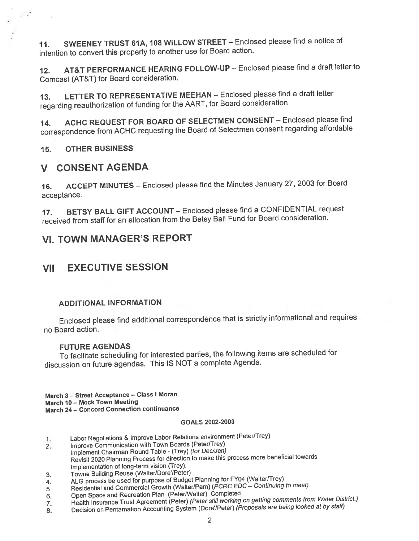11. SWEENEY TRUST 61A, 108 WILLOW STREET - Enclosed please find a notice of intention to convert this property to another use for Board action.

12. AT&T PERFORMANCE HEARING FOLLOW-UP — Enclosed <sup>p</sup>lease find <sup>a</sup> draft letter to Comcast (AT&T) for Board consideration.

13. LETTER TO REPRESENTATIVE MEEHAN — Enclosed <sup>p</sup>lease find <sup>a</sup> draft letter regarding reauthorization of funding for the AART, for Board consideration

14. ACHC REQUEST FOR BOARD OF SELECTMEN CONSENT — Enclosed <sup>p</sup>lease find correspondence from ACHC requesting the Board of Selectmen consent regarding affordable

15. OTHER BUSINESS

## V CONSENT AGENDA

16. ACCEPT MINUTES — Enclosed <sup>p</sup>lease find the Minutes January 27, <sup>2003</sup> for Board acceptance.

17. BETSY BALL GIFT ACCOUNT — Enclosed <sup>p</sup>lease find <sup>a</sup> CONFIDENTIAL reques<sup>t</sup> received from staff for an allocation from the Betsy Ball Fund for Board consideration.

## VI. TOWN MANAGER'S REPORT

## VII EXECUTIVE SESSION

#### ADDITIONAL INFORMATION

Enclosed <sup>p</sup>lease find additional correspondence that is strictly informational and requires no Board action.

#### FUTURE AGENDAS

To facilitate scheduling for interested parties, the following items are scheduled for discussion on future agendas. This IS NOT <sup>a</sup> complete Agenda.

March 3 — Street Acceptance — Class <sup>I</sup> Moran March 10 — Mock Town Meeting March 24 — Concord Connection continuance

#### GOALS 2002-2003

- 1. Labor Negotiations & Improve Labor Relations environment (PeterfTrey)
- 2. Improve communication with Town Boards (Peter/Trey) Implement chairman Round Table - (Trey) (for Dec/Jan) Revisit <sup>2020</sup> Planning Process for direction to make this process more beneficial towards Implementation of long-term vision (Trey).
- 3. Towne Building Reuse (Walter/Dore'/Peter)
- 4. ALG process be used for purpose of Budget Planning for FY04 (Walter/Trey)
- <sup>5</sup> Residential and commercial Growth (Walter/Pam) (PCRC EDC Continuing to meet)
- 6. Open Space and Recreation Plan (Peter/Walter) Completed
- 7. Health Insurance Trust Agreement (Peter) (Peter still working on getting comments from Water District.)
- 8. Decision on Pentamation Accounting System (Dore'/Peter) (Proposals are being looked at by staff)